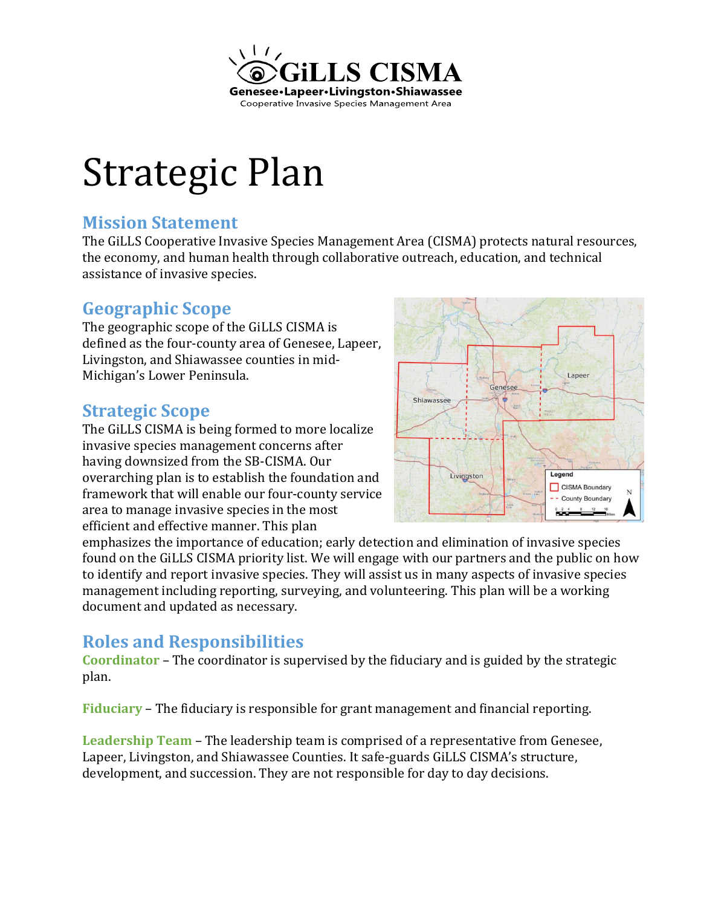

# Strategic Plan

## **Mission Statement**

The GiLLS Cooperative Invasive Species Management Area (CISMA) protects natural resources, the economy, and human health through collaborative outreach, education, and technical assistance of invasive species.

## **Geographic Scope**

The geographic scope of the GiLLS CISMA is defined as the four-county area of Genesee, Lapeer, Livingston, and Shiawassee counties in mid-Michigan's Lower Peninsula.

## **Strategic Scope**

The GiLLS CISMA is being formed to more localize invasive species management concerns after having downsized from the SB-CISMA. Our overarching plan is to establish the foundation and framework that will enable our four-county service area to manage invasive species in the most efficient and effective manner. This plan



emphasizes the importance of education; early detection and elimination of invasive species found on the GiLLS CISMA priority list. We will engage with our partners and the public on how to identify and report invasive species. They will assist us in many aspects of invasive species management including reporting, surveying, and volunteering. This plan will be a working document and updated as necessary.

## **Roles and Responsibilities**

**Coordinator** – The coordinator is supervised by the fiduciary and is guided by the strategic plan.

**Fiduciary** – The fiduciary is responsible for grant management and financial reporting.

**Leadership Team** – The leadership team is comprised of a representative from Genesee, Lapeer, Livingston, and Shiawassee Counties. It safe-guards GiLLS CISMA's structure, development, and succession. They are not responsible for day to day decisions.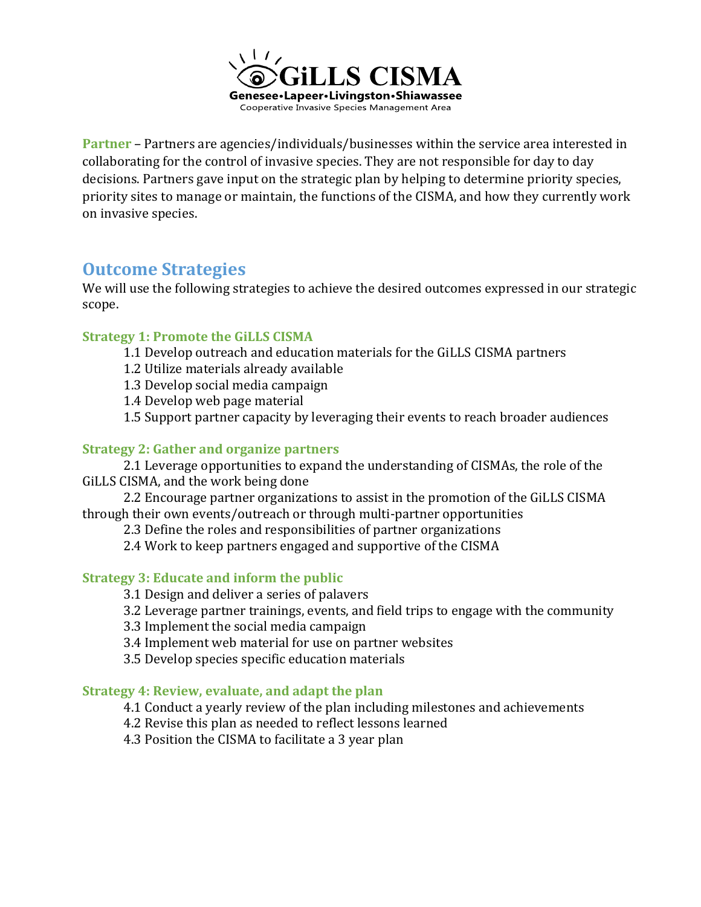

**Partner** – Partners are agencies/individuals/businesses within the service area interested in collaborating for the control of invasive species. They are not responsible for day to day decisions. Partners gave input on the strategic plan by helping to determine priority species, priority sites to manage or maintain, the functions of the CISMA, and how they currently work on invasive species.

### **Outcome Strategies**

We will use the following strategies to achieve the desired outcomes expressed in our strategic scope.

#### **Strategy 1: Promote the GiLLS CISMA**

- 1.1 Develop outreach and education materials for the GiLLS CISMA partners
- 1.2 Utilize materials already available
- 1.3 Develop social media campaign
- 1.4 Develop web page material
- 1.5 Support partner capacity by leveraging their events to reach broader audiences

#### **Strategy 2: Gather and organize partners**

2.1 Leverage opportunities to expand the understanding of CISMAs, the role of the GiLLS CISMA, and the work being done

2.2 Encourage partner organizations to assist in the promotion of the GiLLS CISMA through their own events/outreach or through multi-partner opportunities

2.3 Define the roles and responsibilities of partner organizations

2.4 Work to keep partners engaged and supportive of the CISMA

#### **Strategy 3: Educate and inform the public**

- 3.1 Design and deliver a series of palavers
- 3.2 Leverage partner trainings, events, and field trips to engage with the community
- 3.3 Implement the social media campaign
- 3.4 Implement web material for use on partner websites
- 3.5 Develop species specific education materials

#### **Strategy 4: Review, evaluate, and adapt the plan**

- 4.1 Conduct a yearly review of the plan including milestones and achievements
- 4.2 Revise this plan as needed to reflect lessons learned
- 4.3 Position the CISMA to facilitate a 3 year plan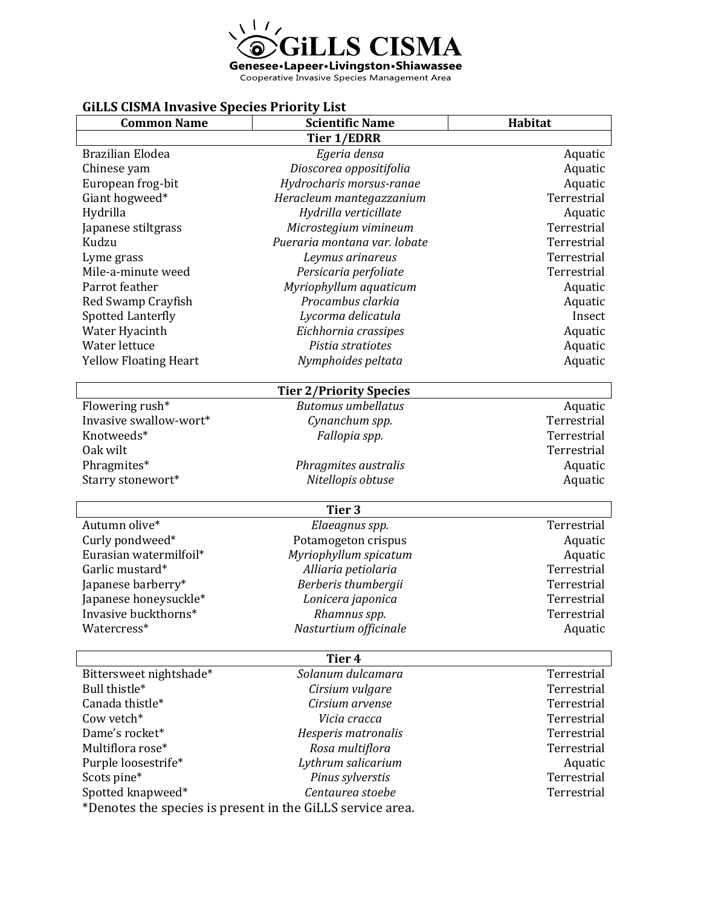

#### **GiLLS CISMA Invasive Species Priority List**

| <b>Common Name</b>                                         | <b>Scientific Name</b>       | <b>Habitat</b> |
|------------------------------------------------------------|------------------------------|----------------|
| <b>Tier 1/EDRR</b>                                         |                              |                |
| Brazilian Elodea                                           | Egeria densa                 | Aquatic        |
| Chinese yam                                                | Dioscorea oppositifolia      | Aquatic        |
| European frog-bit                                          | Hydrocharis morsus-ranae     | Aquatic        |
| Giant hogweed*                                             | Heracleum mantegazzanium     | Terrestrial    |
| Hydrilla                                                   | Hydrilla verticillate        | Aquatic        |
| Japanese stiltgrass                                        | Microstegium vimineum        | Terrestrial    |
| Kudzu                                                      | Pueraria montana var. lobate | Terrestrial    |
| Lyme grass                                                 | Leymus arinareus             | Terrestrial    |
| Mile-a-minute weed                                         | Persicaria perfoliate        | Terrestrial    |
| Parrot feather                                             | Myriophyllum aquaticum       | Aquatic        |
| Red Swamp Crayfish                                         | Procambus clarkia            | Aquatic        |
| Spotted Lanterfly                                          | Lycorma delicatula           | Insect         |
| Water Hyacinth                                             | Eichhornia crassipes         | Aquatic        |
| Water lettuce                                              | Pistia stratiotes            | Aquatic        |
| <b>Yellow Floating Heart</b>                               | Nymphoides peltata           | Aquatic        |
| <b>Tier 2/Priority Species</b>                             |                              |                |
| Flowering rush*                                            | <b>Butomus</b> umbellatus    | Aquatic        |
| Invasive swallow-wort*                                     | Cynanchum spp.               | Terrestrial    |
| Knotweeds*                                                 | Fallopia spp.                | Terrestrial    |
| Oak wilt                                                   |                              | Terrestrial    |
| Phragmites*                                                | Phragmites australis         | Aquatic        |
| Starry stonewort*                                          | Nitellopis obtuse            | Aquatic        |
| Tier <sub>3</sub>                                          |                              |                |
| Autumn olive*                                              | Elaeagnus spp.               | Terrestrial    |
| Curly pondweed*                                            | Potamogeton crispus          | Aquatic        |
| Eurasian watermilfoil*                                     | Myriophyllum spicatum        | Aquatic        |
| Garlic mustard*                                            | Alliaria petiolaria          | Terrestrial    |
| Japanese barberry*                                         | Berberis thumbergii          | Terrestrial    |
| Japanese honeysuckle*                                      | Lonicera japonica            | Terrestrial    |
| Invasive buckthorns*                                       | Rhamnus spp.                 | Terrestrial    |
| Watercress*                                                | Nasturtium officinale        | Aquatic        |
| Tier 4                                                     |                              |                |
| Bittersweet nightshade*                                    | Solanum dulcamara            | Terrestrial    |
| Bull thistle*                                              | Cirsium vulgare              | Terrestrial    |
| Canada thistle*                                            | Cirsium arvense              | Terrestrial    |
| Cow vetch*                                                 | Vicia cracca                 | Terrestrial    |
| Dame's rocket*                                             | Hesperis matronalis          | Terrestrial    |
| Multiflora rose*                                           | Rosa multiflora              | Terrestrial    |
| Purple loosestrife*                                        | Lythrum salicarium           | Aquatic        |
| Scots pine*                                                | Pinus sylverstis             | Terrestrial    |
| Spotted knapweed*                                          | Centaurea stoebe             | Terrestrial    |
| *Denotes the species is present in the GiLLS service area. |                              |                |
|                                                            |                              |                |